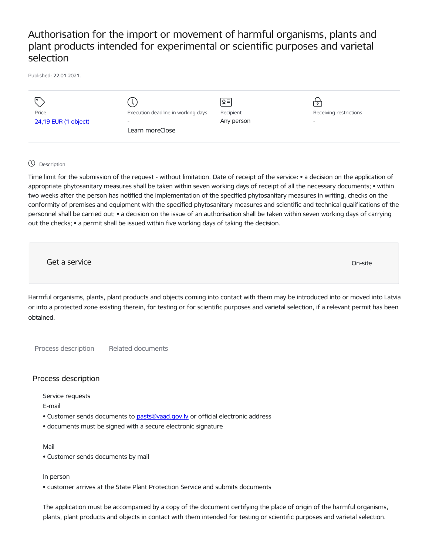## Authorisation for the import or movement of harmful organisms, plants and plant products intended for experimental or scientific purposes and varietal selection

Published: 22.01.2021.

|                      |                                    | ∣়≡        | $\bullet$ .            |
|----------------------|------------------------------------|------------|------------------------|
| Price                | Execution deadline in working days | Recipient  | Receiving restrictions |
| 24,19 EUR (1 object) | -                                  | Any person | -                      |
|                      | Learn moreClose                    |            |                        |
|                      |                                    |            |                        |

## Description:

Time limit for the submission of the request - without limitation. Date of receipt of the service: • a decision on the application of appropriate phytosanitary measures shall be taken within seven working days of receipt of all the necessary documents; • within two weeks after the person has notified the implementation of the specified phytosanitary measures in writing, checks on the conformity of premises and equipment with the specified phytosanitary measures and scientific and technical qualifications of the personnel shall be carried out; • a decision on the issue of an authorisation shall be taken within seven working days of carrying out the checks; • a permit shall be issued within five working days of taking the decision.

Get a service and the contract of the contract of the contract of the contract of the contract of the contract of the contract of the contract of the contract of the contract of the contract of the contract of the contract

Harmful organisms, plants, plant products and objects coming into contact with them may be introduced into or moved into Latvia or into a protected zone existing therein, for testing or for scientific purposes and varietal selection, if a relevant permit has been obtained.

Process description Related documents

## Process description

Service requests

E-mail

- Customer sends documents to pasts@vaad.gov.ly or official electronic address
- documents must be signed with a secure electronic signature

Mail

• Customer sends documents by mail

In person

• customer arrives at the State Plant Protection Service and submits documents

The application must be accompanied by a copy of the document certifying the place of origin of the harmful organisms, plants, plant products and objects in contact with them intended for testing or scientific purposes and varietal selection.